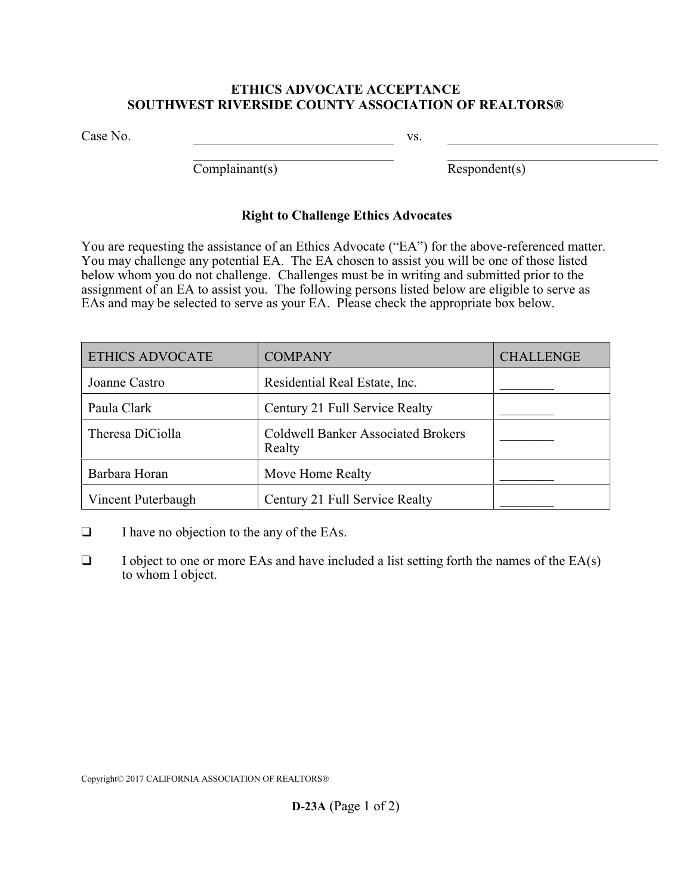## **ETHICS ADVOCATE ACCEPTANCE SOUTHWEST RIVERSIDE COUNTY ASSOCIATION OF REALTORS®**

Case No.

vs.

Complainant(s)

Respondent(s)

## **Right to Challenge Ethics Advocates**

You are requesting the assistance of an Ethics Advocate ("EA") for the above-referenced matter. You may challenge any potential EA. The EA chosen to assist you will be one of those listed below whom you do not challenge. Challenges must be in writing and submitted prior to the assignment of an EA to assist you. The following persons listed below are eligible to serve as EAs and may be selected to serve as your EA. Please check the appropriate box below.

| <b>ETHICS ADVOCATE</b> | <b>COMPANY</b>                                      | <b>CHALLENGE</b> |
|------------------------|-----------------------------------------------------|------------------|
| Joanne Castro          | Residential Real Estate, Inc.                       |                  |
| Paula Clark            | Century 21 Full Service Realty                      |                  |
| Theresa DiCiolla       | <b>Coldwell Banker Associated Brokers</b><br>Realty |                  |
| Barbara Horan          | Move Home Realty                                    |                  |
| Vincent Puterbaugh     | Century 21 Full Service Realty                      |                  |

- $\Box$  I have no objection to the any of the EAs.
- $\Box$  I object to one or more EAs and have included a list setting forth the names of the EA(s) to whom I object.

Copyright© 2017 CALIFORNIA ASSOCIATION OF REALTORS®